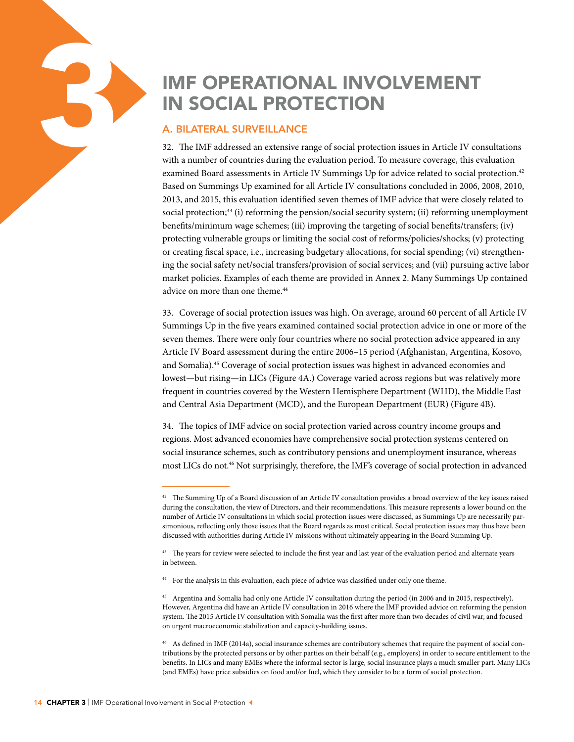# IMF OPERATIONAL INVOLVEMENT<br>
IN SOCIAL PROTECTION<br>
A. BILATERAL SURVEILLANCE<br>
32. The IMF addressed an extensive range of social protection issues in Article IV co<br>
with a number of countries during the evaluation period.

# A. BILATERAL SURVEILLANCE

32. The IMF addressed an extensive range of social protection issues in Article IV consultations with a number of countries during the evaluation period. To measure coverage, this evaluation examined Board assessments in Article IV Summings Up for advice related to social protection.<sup>42</sup> Based on Summings Up examined for all Article IV consultations concluded in 2006, 2008, 2010, 2013, and 2015, this evaluation identified seven themes of IMF advice that were closely related to social protection;<sup>43</sup> (i) reforming the pension/social security system; (ii) reforming unemployment benefits/minimum wage schemes; (iii) improving the targeting of social benefits/transfers; (iv) protecting vulnerable groups or limiting the social cost of reforms/policies/shocks; (v) protecting or creating fiscal space, i.e., increasing budgetary allocations, for social spending; (vi) strengthening the social safety net/social transfers/provision of social services; and (vii) pursuing active labor market policies. Examples of each theme are provided in Annex 2. Many Summings Up contained advice on more than one theme.<sup>44</sup>

33. Coverage of social protection issues was high. On average, around 60 percent of all Article IV Summings Up in the five years examined contained social protection advice in one or more of the seven themes. There were only four countries where no social protection advice appeared in any Article IV Board assessment during the entire 2006–15 period (Afghanistan, Argentina, Kosovo, and Somalia).45 Coverage of social protection issues was highest in advanced economies and lowest—but rising—in LICs (Figure 4A.) Coverage varied across regions but was relatively more frequent in countries covered by the Western Hemisphere Department (WHD), the Middle East and Central Asia Department (MCD), and the European Department (EUR) (Figure 4B).

34. The topics of IMF advice on social protection varied across country income groups and regions. Most advanced economies have comprehensive social protection systems centered on social insurance schemes, such as contributory pensions and unemployment insurance, whereas most LICs do not.46 Not surprisingly, therefore, the IMF's coverage of social protection in advanced

 $42$  The Summing Up of a Board discussion of an Article IV consultation provides a broad overview of the key issues raised during the consultation, the view of Directors, and their recommendations. This measure represents a lower bound on the number of Article IV consultations in which social protection issues were discussed, as Summings Up are necessarily parsimonious, reflecting only those issues that the Board regards as most critical. Social protection issues may thus have been discussed with authorities during Article IV missions without ultimately appearing in the Board Summing Up.

<sup>&</sup>lt;sup>43</sup> The years for review were selected to include the first year and last year of the evaluation period and alternate years in between.

<sup>&</sup>lt;sup>44</sup> For the analysis in this evaluation, each piece of advice was classified under only one theme.

<sup>45</sup> Argentina and Somalia had only one Article IV consultation during the period (in 2006 and in 2015, respectively). However, Argentina did have an Article IV consultation in 2016 where the IMF provided advice on reforming the pension system. The 2015 Article IV consultation with Somalia was the first after more than two decades of civil war, and focused on urgent macroeconomic stabilization and capacity-building issues.

<sup>46</sup> As defined in IMF (2014a), social insurance schemes are contributory schemes that require the payment of social contributions by the protected persons or by other parties on their behalf (e.g., employers) in order to secure entitlement to the benefits. In LICs and many EMEs where the informal sector is large, social insurance plays a much smaller part. Many LICs (and EMEs) have price subsidies on food and/or fuel, which they consider to be a form of social protection.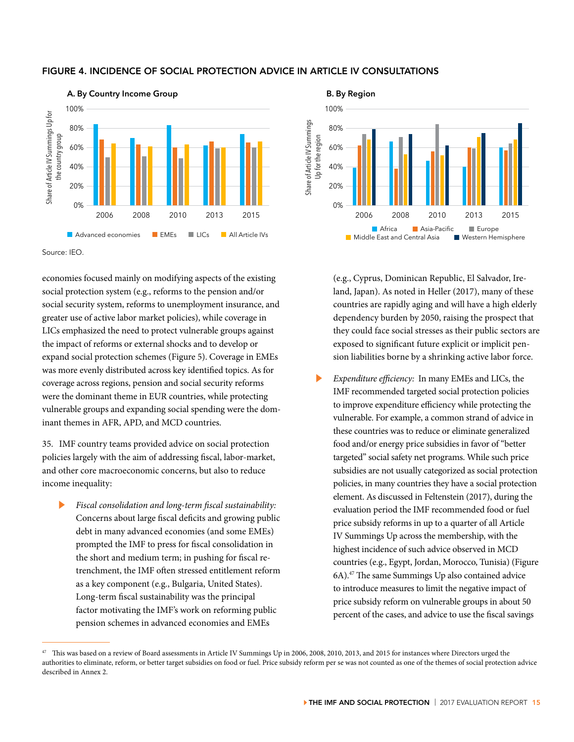### FIGURE 4. INCIDENCE OF SOCIAL PROTECTION ADVICE IN ARTICLE IV CONSULTATIONS



Source: IEO.

economies focused mainly on modifying aspects of the existing social protection system (e.g., reforms to the pension and/or social security system, reforms to unemployment insurance, and greater use of active labor market policies), while coverage in LICs emphasized the need to protect vulnerable groups against the impact of reforms or external shocks and to develop or expand social protection schemes (Figure 5). Coverage in EMEs was more evenly distributed across key identified topics. As for coverage across regions, pension and social security reforms were the dominant theme in EUR countries, while protecting vulnerable groups and expanding social spending were the dominant themes in AFR, APD, and MCD countries.

35. IMF country teams provided advice on social protection policies largely with the aim of addressing fiscal, labor-market, and other core macroeconomic concerns, but also to reduce income inequality:

▶ *Fiscal consolidation and long-term fiscal sustainability:* Concerns about large fiscal deficits and growing public debt in many advanced economies (and some EMEs) prompted the IMF to press for fiscal consolidation in the short and medium term; in pushing for fiscal retrenchment, the IMF often stressed entitlement reform as a key component (e.g., Bulgaria, United States). Long-term fiscal sustainability was the principal factor motivating the IMF's work on reforming public pension schemes in advanced economies and EMEs

**B. By Region** 100% hare of Article IV Summings Share of Article IV Summings 80% Jp for the region Up for the region 60% 40% 20% 0% 2006 2008 2010 2013 2015 ■ Africa ■ Asia-Pacific ■ Europe<br>le East and Central Asia ■ Western Hemisphere  $\blacksquare$  Middle East and Central Asia

> (e.g., Cyprus, Dominican Republic, El Salvador, Ireland, Japan). As noted in Heller (2017), many of these countries are rapidly aging and will have a high elderly dependency burden by 2050, raising the prospect that they could face social stresses as their public sectors are exposed to significant future explicit or implicit pension liabilities borne by a shrinking active labor force.

▶ *Expenditure efficiency:* In many EMEs and LICs, the IMF recommended targeted social protection policies to improve expenditure efficiency while protecting the vulnerable. For example, a common strand of advice in these countries was to reduce or eliminate generalized food and/or energy price subsidies in favor of "better targeted" social safety net programs. While such price subsidies are not usually categorized as social protection policies, in many countries they have a social protection element. As discussed in Feltenstein (2017), during the evaluation period the IMF recommended food or fuel price subsidy reforms in up to a quarter of all Article IV Summings Up across the membership, with the highest incidence of such advice observed in MCD countries (e.g., Egypt, Jordan, Morocco, Tunisia) (Figure 6A).47 The same Summings Up also contained advice to introduce measures to limit the negative impact of price subsidy reform on vulnerable groups in about 50 percent of the cases, and advice to use the fiscal savings

This was based on a review of Board assessments in Article IV Summings Up in 2006, 2008, 2010, 2013, and 2015 for instances where Directors urged the authorities to eliminate, reform, or better target subsidies on food or fuel. Price subsidy reform per se was not counted as one of the themes of social protection advice described in Annex 2.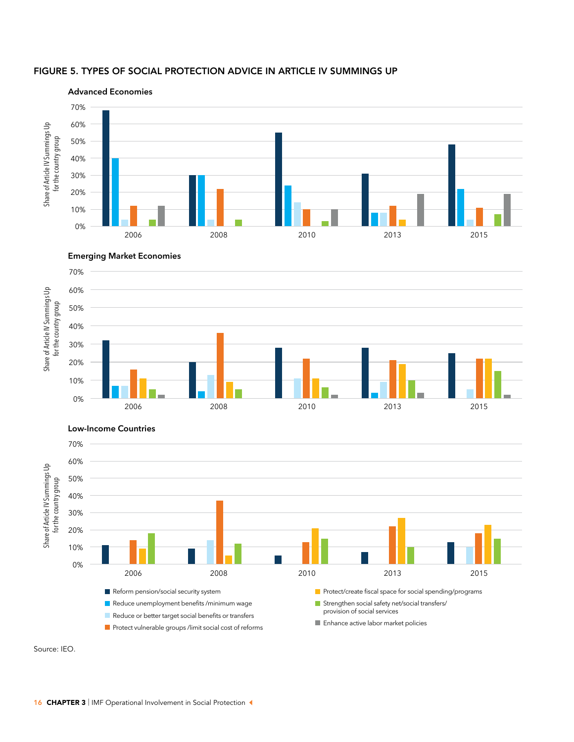







Source: IEO.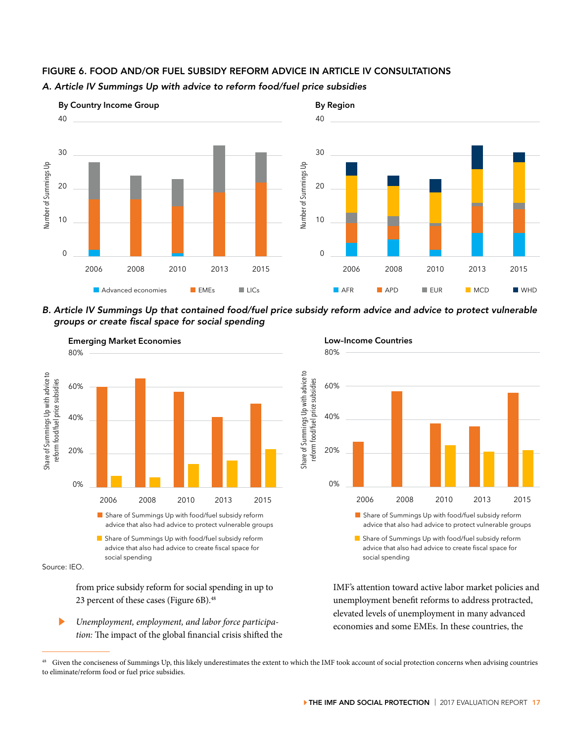

# FIGURE 6. FOOD AND/OR FUEL SUBSIDY REFORM ADVICE IN ARTICLE IV CONSULTATIONS

*A. Article IV Summings Up with advice to reform food/fuel price subsidies*





from price subsidy reform for social spending in up to 23 percent of these cases (Figure 6B).<sup>48</sup>

▶ *Unemployment, employment, and labor force participation:* The impact of the global financial crisis shifted the

80% **Low–Income Countries** 80%



advice that also had advice to protect vulnerable groups advice that also had advice to create fiscal space for

IMF's attention toward active labor market policies and unemployment benefit reforms to address protracted, elevated levels of unemployment in many advanced economies and some EMEs. In these countries, the

Share of Summings Up with food/fuel subsidy reform advice that also had advice to create fiscal space for social spending

Given the conciseness of Summings Up, this likely underestimates the extent to which the IMF took account of social protection concerns when advising countries to eliminate/reform food or fuel price subsidies.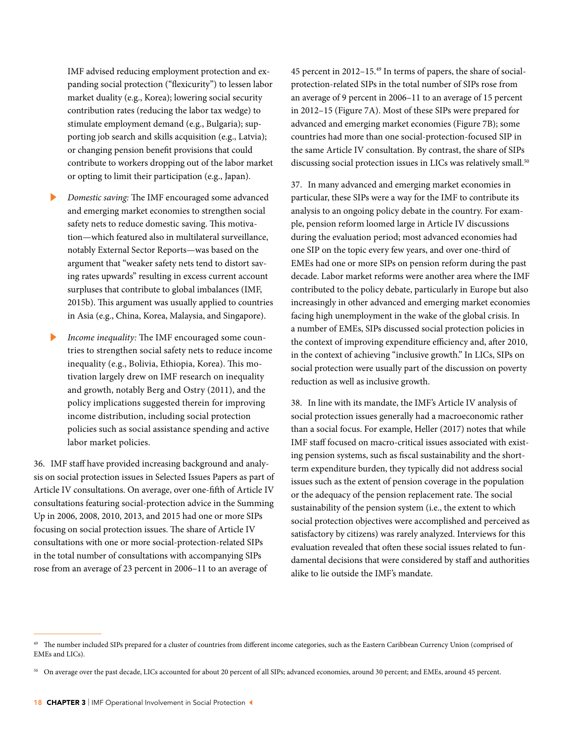IMF advised reducing employment protection and expanding social protection ("flexicurity") to lessen labor market duality (e.g., Korea); lowering social security contribution rates (reducing the labor tax wedge) to stimulate employment demand (e.g., Bulgaria); supporting job search and skills acquisition (e.g., Latvia); or changing pension benefit provisions that could contribute to workers dropping out of the labor market or opting to limit their participation (e.g., Japan).

- ▶ *Domestic saving:* The IMF encouraged some advanced and emerging market economies to strengthen social safety nets to reduce domestic saving. This motivation—which featured also in multilateral surveillance, notably External Sector Reports—was based on the argument that "weaker safety nets tend to distort saving rates upwards" resulting in excess current account surpluses that contribute to global imbalances (IMF, 2015b). This argument was usually applied to countries in Asia (e.g., China, Korea, Malaysia, and Singapore).
- Income inequality: The IMF encouraged some countries to strengthen social safety nets to reduce income inequality (e.g., Bolivia, Ethiopia, Korea). This motivation largely drew on IMF research on inequality and growth, notably Berg and Ostry (2011), and the policy implications suggested therein for improving income distribution, including social protection policies such as social assistance spending and active labor market policies.

36. IMF staff have provided increasing background and analysis on social protection issues in Selected Issues Papers as part of Article IV consultations. On average, over one-fifth of Article IV consultations featuring social-protection advice in the Summing Up in 2006, 2008, 2010, 2013, and 2015 had one or more SIPs focusing on social protection issues. The share of Article IV consultations with one or more social-protection-related SIPs in the total number of consultations with accompanying SIPs rose from an average of 23 percent in 2006–11 to an average of

45 percent in 2012–15.49 In terms of papers, the share of socialprotection-related SIPs in the total number of SIPs rose from an average of 9 percent in 2006–11 to an average of 15 percent in 2012–15 (Figure 7A). Most of these SIPs were prepared for advanced and emerging market economies (Figure 7B); some countries had more than one social-protection-focused SIP in the same Article IV consultation. By contrast, the share of SIPs discussing social protection issues in LICs was relatively small.<sup>50</sup>

37. In many advanced and emerging market economies in particular, these SIPs were a way for the IMF to contribute its analysis to an ongoing policy debate in the country. For example, pension reform loomed large in Article IV discussions during the evaluation period; most advanced economies had one SIP on the topic every few years, and over one-third of EMEs had one or more SIPs on pension reform during the past decade. Labor market reforms were another area where the IMF contributed to the policy debate, particularly in Europe but also increasingly in other advanced and emerging market economies facing high unemployment in the wake of the global crisis. In a number of EMEs, SIPs discussed social protection policies in the context of improving expenditure efficiency and, after 2010, in the context of achieving "inclusive growth." In LICs, SIPs on social protection were usually part of the discussion on poverty reduction as well as inclusive growth.

38. In line with its mandate, the IMF's Article IV analysis of social protection issues generally had a macroeconomic rather than a social focus. For example, Heller (2017) notes that while IMF staff focused on macro-critical issues associated with existing pension systems, such as fiscal sustainability and the shortterm expenditure burden, they typically did not address social issues such as the extent of pension coverage in the population or the adequacy of the pension replacement rate. The social sustainability of the pension system (i.e., the extent to which social protection objectives were accomplished and perceived as satisfactory by citizens) was rarely analyzed. Interviews for this evaluation revealed that often these social issues related to fundamental decisions that were considered by staff and authorities alike to lie outside the IMF's mandate.

<sup>49</sup> The number included SIPs prepared for a cluster of countries from different income categories, such as the Eastern Caribbean Currency Union (comprised of EMEs and LICs).

<sup>50</sup> On average over the past decade, LICs accounted for about 20 percent of all SIPs; advanced economies, around 30 percent; and EMEs, around 45 percent.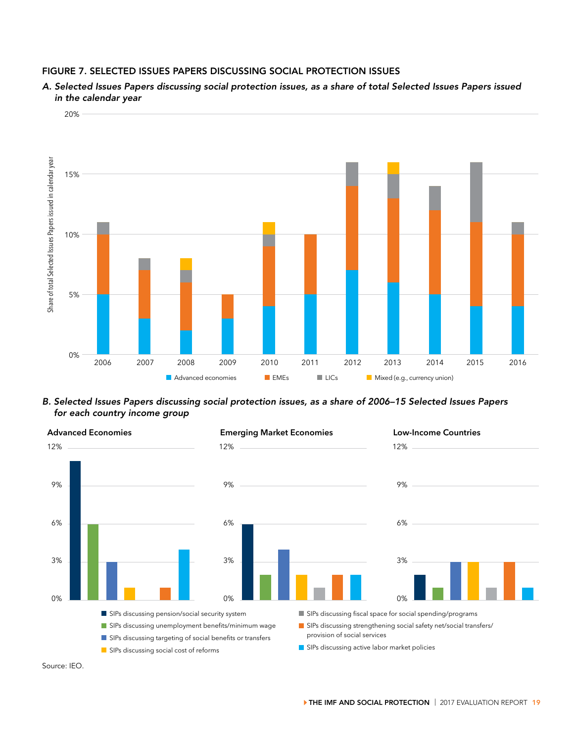# FIGURE 7. SELECTED ISSUES PAPERS DISCUSSING SOCIAL PROTECTION ISSUES

*A. Selected Issues Papers discussing social protection issues, as a share of total Selected Issues Papers issued in the calendar year*



*B. Selected Issues Papers discussing social protection issues, as a share of 2006–15 Selected Issues Papers for each country income group*



Source: IEO.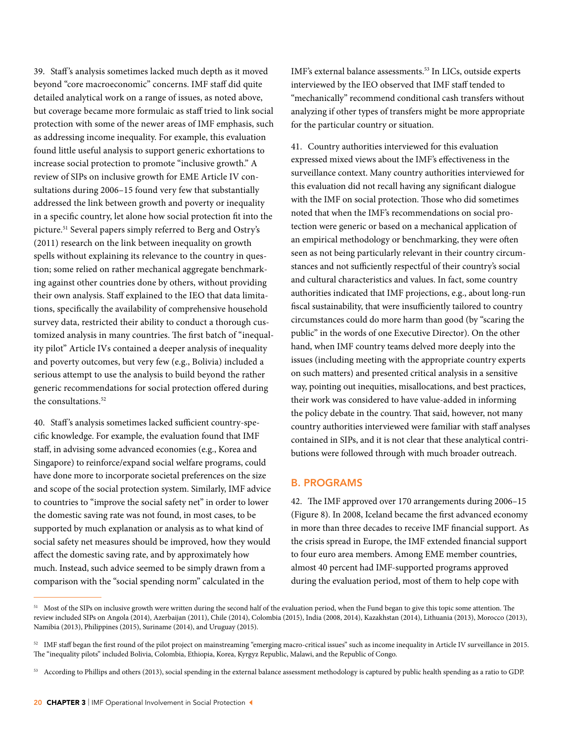39. Staff 's analysis sometimes lacked much depth as it moved beyond "core macroeconomic" concerns. IMF staff did quite detailed analytical work on a range of issues, as noted above, but coverage became more formulaic as staff tried to link social protection with some of the newer areas of IMF emphasis, such as addressing income inequality. For example, this evaluation found little useful analysis to support generic exhortations to increase social protection to promote "inclusive growth." A review of SIPs on inclusive growth for EME Article IV consultations during 2006–15 found very few that substantially addressed the link between growth and poverty or inequality in a specific country, let alone how social protection fit into the picture.51 Several papers simply referred to Berg and Ostry's (2011) research on the link between inequality on growth spells without explaining its relevance to the country in question; some relied on rather mechanical aggregate benchmarking against other countries done by others, without providing their own analysis. Staff explained to the IEO that data limitations, specifically the availability of comprehensive household survey data, restricted their ability to conduct a thorough customized analysis in many countries. The first batch of "inequality pilot" Article IVs contained a deeper analysis of inequality and poverty outcomes, but very few (e.g., Bolivia) included a serious attempt to use the analysis to build beyond the rather generic recommendations for social protection offered during the consultations.<sup>52</sup>

40. Staff 's analysis sometimes lacked sufficient country-specific knowledge. For example, the evaluation found that IMF staff, in advising some advanced economies (e.g., Korea and Singapore) to reinforce/expand social welfare programs, could have done more to incorporate societal preferences on the size and scope of the social protection system. Similarly, IMF advice to countries to "improve the social safety net" in order to lower the domestic saving rate was not found, in most cases, to be supported by much explanation or analysis as to what kind of social safety net measures should be improved, how they would affect the domestic saving rate, and by approximately how much. Instead, such advice seemed to be simply drawn from a comparison with the "social spending norm" calculated in the

IMF's external balance assessments.53 In LICs, outside experts interviewed by the IEO observed that IMF staff tended to "mechanically" recommend conditional cash transfers without analyzing if other types of transfers might be more appropriate for the particular country or situation.

41. Country authorities interviewed for this evaluation expressed mixed views about the IMF's effectiveness in the surveillance context. Many country authorities interviewed for this evaluation did not recall having any significant dialogue with the IMF on social protection. Those who did sometimes noted that when the IMF's recommendations on social protection were generic or based on a mechanical application of an empirical methodology or benchmarking, they were often seen as not being particularly relevant in their country circumstances and not sufficiently respectful of their country's social and cultural characteristics and values. In fact, some country authorities indicated that IMF projections, e.g., about long-run fiscal sustainability, that were insufficiently tailored to country circumstances could do more harm than good (by "scaring the public" in the words of one Executive Director). On the other hand, when IMF country teams delved more deeply into the issues (including meeting with the appropriate country experts on such matters) and presented critical analysis in a sensitive way, pointing out inequities, misallocations, and best practices, their work was considered to have value-added in informing the policy debate in the country. That said, however, not many country authorities interviewed were familiar with staff analyses contained in SIPs, and it is not clear that these analytical contributions were followed through with much broader outreach.

# B. PROGRAMS

42. The IMF approved over 170 arrangements during 2006–15 (Figure 8). In 2008, Iceland became the first advanced economy in more than three decades to receive IMF financial support. As the crisis spread in Europe, the IMF extended financial support to four euro area members. Among EME member countries, almost 40 percent had IMF-supported programs approved during the evaluation period, most of them to help cope with

<sup>&</sup>lt;sup>51</sup> Most of the SIPs on inclusive growth were written during the second half of the evaluation period, when the Fund began to give this topic some attention. The review included SIPs on Angola (2014), Azerbaijan (2011), Chile (2014), Colombia (2015), India (2008, 2014), Kazakhstan (2014), Lithuania (2013), Morocco (2013), Namibia (2013), Philippines (2015), Suriname (2014), and Uruguay (2015).

<sup>&</sup>lt;sup>52</sup> IMF staff began the first round of the pilot project on mainstreaming "emerging macro-critical issues" such as income inequality in Article IV surveillance in 2015. The "inequality pilots" included Bolivia, Colombia, Ethiopia, Korea, Kyrgyz Republic, Malawi, and the Republic of Congo.

<sup>53</sup> According to Phillips and others (2013), social spending in the external balance assessment methodology is captured by public health spending as a ratio to GDP.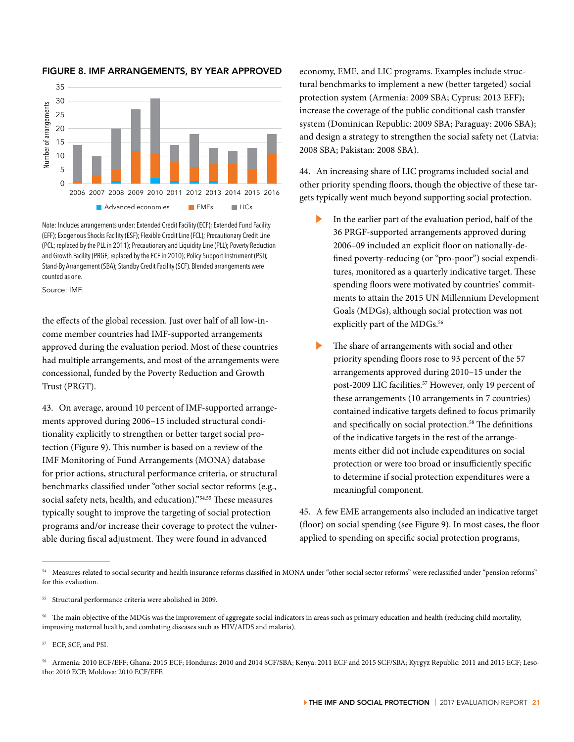

### FIGURE 8. IMF ARRANGEMENTS, BY YEAR APPROVED

Note: Includes arrangements under: Extended Credit Facility (ECF); Extended Fund Facility (EFF); Exogenous Shocks Facility (ESF); Flexible Credit Line (FCL); Precautionary Credit Line (PCL; replaced by the PLL in 2011); Precautionary and Liquidity Line (PLL); Poverty Reduction and Growth Facility (PRGF; replaced by the ECF in 2010); Policy Support Instrument (PSI); Stand-By Arrangement (SBA); Standby Credit Facility (SCF). Blended arrangements were counted as one.

Source: IMF.

the effects of the global recession. Just over half of all low-income member countries had IMF-supported arrangements approved during the evaluation period. Most of these countries had multiple arrangements, and most of the arrangements were concessional, funded by the Poverty Reduction and Growth Trust (PRGT).

43. On average, around 10 percent of IMF-supported arrangements approved during 2006–15 included structural conditionality explicitly to strengthen or better target social protection (Figure 9). This number is based on a review of the IMF Monitoring of Fund Arrangements (MONA) database for prior actions, structural performance criteria, or structural benchmarks classified under "other social sector reforms (e.g., social safety nets, health, and education)."<sup>54,55</sup> These measures typically sought to improve the targeting of social protection programs and/or increase their coverage to protect the vulnerable during fiscal adjustment. They were found in advanced

economy, EME, and LIC programs. Examples include structural benchmarks to implement a new (better targeted) social protection system (Armenia: 2009 SBA; Cyprus: 2013 EFF); increase the coverage of the public conditional cash transfer system (Dominican Republic: 2009 SBA; Paraguay: 2006 SBA); and design a strategy to strengthen the social safety net (Latvia: 2008 SBA; Pakistan: 2008 SBA).

44. An increasing share of LIC programs included social and other priority spending floors, though the objective of these targets typically went much beyond supporting social protection.

- In the earlier part of the evaluation period, half of the 36 PRGF-supported arrangements approved during 2006–09 included an explicit floor on nationally-defined poverty-reducing (or "pro-poor") social expenditures, monitored as a quarterly indicative target. These spending floors were motivated by countries' commitments to attain the 2015 UN Millennium Development Goals (MDGs), although social protection was not explicitly part of the MDGs.<sup>56</sup>
- The share of arrangements with social and other priority spending floors rose to 93 percent of the 57 arrangements approved during 2010–15 under the post-2009 LIC facilities.<sup>57</sup> However, only 19 percent of these arrangements (10 arrangements in 7 countries) contained indicative targets defined to focus primarily and specifically on social protection.<sup>58</sup> The definitions of the indicative targets in the rest of the arrangements either did not include expenditures on social protection or were too broad or insufficiently specific to determine if social protection expenditures were a meaningful component.

45. A few EME arrangements also included an indicative target (floor) on social spending (see Figure 9). In most cases, the floor applied to spending on specific social protection programs,

<sup>54</sup> Measures related to social security and health insurance reforms classified in MONA under "other social sector reforms" were reclassified under "pension reforms" for this evaluation.

<sup>55</sup> Structural performance criteria were abolished in 2009.

<sup>&</sup>lt;sup>56</sup> The main objective of the MDGs was the improvement of aggregate social indicators in areas such as primary education and health (reducing child mortality, improving maternal health, and combating diseases such as HIV/AIDS and malaria).

<sup>57</sup> ECF, SCF, and PSI.

<sup>58</sup> Armenia: 2010 ECF/EFF; Ghana: 2015 ECF; Honduras: 2010 and 2014 SCF/SBA; Kenya: 2011 ECF and 2015 SCF/SBA; Kyrgyz Republic: 2011 and 2015 ECF; Lesotho: 2010 ECF; Moldova: 2010 ECF/EFF.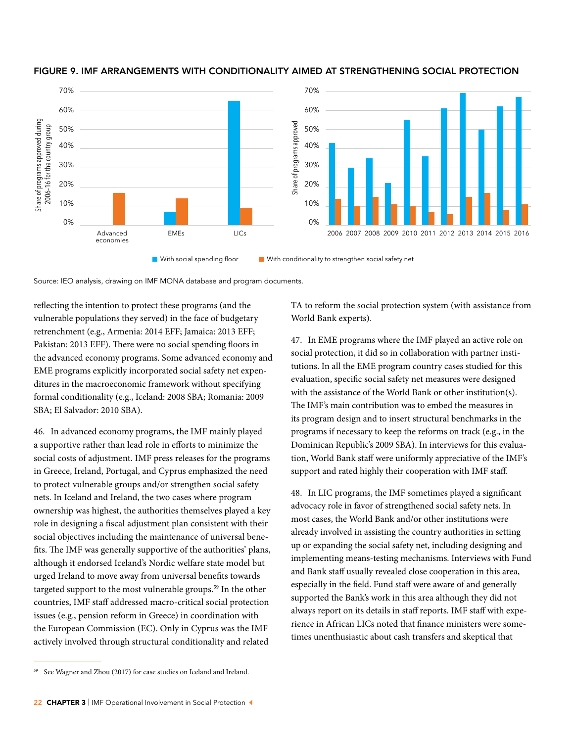

## FIGURE 9. IMF ARRANGEMENTS WITH CONDITIONALITY AIMED AT STRENGTHENING SOCIAL PROTECTION

Source: IEO analysis, drawing on IMF MONA database and program documents.

reflecting the intention to protect these programs (and the vulnerable populations they served) in the face of budgetary retrenchment (e.g., Armenia: 2014 EFF; Jamaica: 2013 EFF; Pakistan: 2013 EFF). There were no social spending floors in the advanced economy programs. Some advanced economy and EME programs explicitly incorporated social safety net expenditures in the macroeconomic framework without specifying formal conditionality (e.g., Iceland: 2008 SBA; Romania: 2009 SBA; El Salvador: 2010 SBA).

46. In advanced economy programs, the IMF mainly played a supportive rather than lead role in efforts to minimize the social costs of adjustment. IMF press releases for the programs in Greece, Ireland, Portugal, and Cyprus emphasized the need to protect vulnerable groups and/or strengthen social safety nets. In Iceland and Ireland, the two cases where program ownership was highest, the authorities themselves played a key role in designing a fiscal adjustment plan consistent with their social objectives including the maintenance of universal benefits. The IMF was generally supportive of the authorities' plans, although it endorsed Iceland's Nordic welfare state model but urged Ireland to move away from universal benefits towards targeted support to the most vulnerable groups.<sup>59</sup> In the other countries, IMF staff addressed macro-critical social protection issues (e.g., pension reform in Greece) in coordination with the European Commission (EC). Only in Cyprus was the IMF actively involved through structural conditionality and related

47. In EME programs where the IMF played an active role on social protection, it did so in collaboration with partner institutions. In all the EME program country cases studied for this evaluation, specific social safety net measures were designed with the assistance of the World Bank or other institution(s). The IMF's main contribution was to embed the measures in its program design and to insert structural benchmarks in the programs if necessary to keep the reforms on track (e.g., in the Dominican Republic's 2009 SBA). In interviews for this evaluation, World Bank staff were uniformly appreciative of the IMF's support and rated highly their cooperation with IMF staff.

48. In LIC programs, the IMF sometimes played a significant advocacy role in favor of strengthened social safety nets. In most cases, the World Bank and/or other institutions were already involved in assisting the country authorities in setting up or expanding the social safety net, including designing and implementing means-testing mechanisms. Interviews with Fund and Bank staff usually revealed close cooperation in this area, especially in the field. Fund staff were aware of and generally supported the Bank's work in this area although they did not always report on its details in staff reports. IMF staff with experience in African LICs noted that finance ministers were sometimes unenthusiastic about cash transfers and skeptical that

TA to reform the social protection system (with assistance from World Bank experts).

See Wagner and Zhou (2017) for case studies on Iceland and Ireland.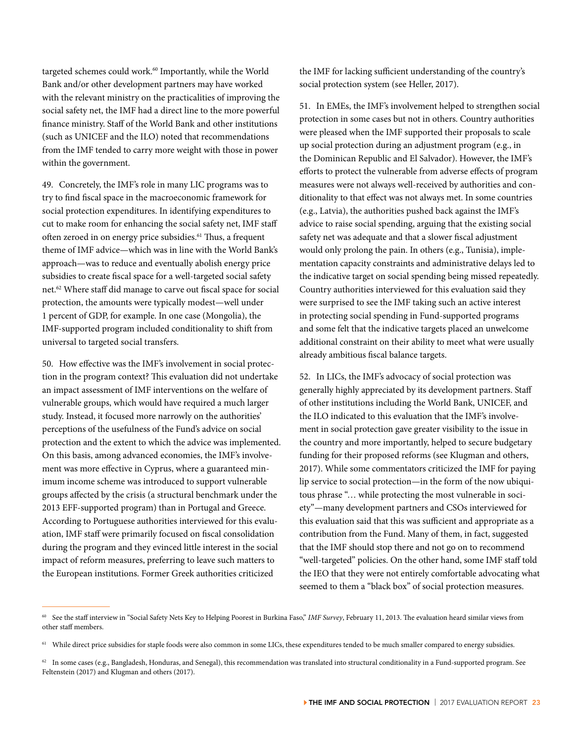targeted schemes could work.<sup>60</sup> Importantly, while the World Bank and/or other development partners may have worked with the relevant ministry on the practicalities of improving the social safety net, the IMF had a direct line to the more powerful finance ministry. Staff of the World Bank and other institutions (such as UNICEF and the ILO) noted that recommendations from the IMF tended to carry more weight with those in power within the government.

49. Concretely, the IMF's role in many LIC programs was to try to find fiscal space in the macroeconomic framework for social protection expenditures. In identifying expenditures to cut to make room for enhancing the social safety net, IMF staff often zeroed in on energy price subsidies.<sup>61</sup> Thus, a frequent theme of IMF advice—which was in line with the World Bank's approach—was to reduce and eventually abolish energy price subsidies to create fiscal space for a well-targeted social safety net.62 Where staff did manage to carve out fiscal space for social protection, the amounts were typically modest—well under 1 percent of GDP, for example. In one case (Mongolia), the IMF-supported program included conditionality to shift from universal to targeted social transfers.

50. How effective was the IMF's involvement in social protection in the program context? This evaluation did not undertake an impact assessment of IMF interventions on the welfare of vulnerable groups, which would have required a much larger study. Instead, it focused more narrowly on the authorities' perceptions of the usefulness of the Fund's advice on social protection and the extent to which the advice was implemented. On this basis, among advanced economies, the IMF's involvement was more effective in Cyprus, where a guaranteed minimum income scheme was introduced to support vulnerable groups affected by the crisis (a structural benchmark under the 2013 EFF-supported program) than in Portugal and Greece. According to Portuguese authorities interviewed for this evaluation, IMF staff were primarily focused on fiscal consolidation during the program and they evinced little interest in the social impact of reform measures, preferring to leave such matters to the European institutions. Former Greek authorities criticized

the IMF for lacking sufficient understanding of the country's social protection system (see Heller, 2017).

51. In EMEs, the IMF's involvement helped to strengthen social protection in some cases but not in others. Country authorities were pleased when the IMF supported their proposals to scale up social protection during an adjustment program (e.g., in the Dominican Republic and El Salvador). However, the IMF's efforts to protect the vulnerable from adverse effects of program measures were not always well-received by authorities and conditionality to that effect was not always met. In some countries (e.g., Latvia), the authorities pushed back against the IMF's advice to raise social spending, arguing that the existing social safety net was adequate and that a slower fiscal adjustment would only prolong the pain. In others (e.g., Tunisia), implementation capacity constraints and administrative delays led to the indicative target on social spending being missed repeatedly. Country authorities interviewed for this evaluation said they were surprised to see the IMF taking such an active interest in protecting social spending in Fund-supported programs and some felt that the indicative targets placed an unwelcome additional constraint on their ability to meet what were usually already ambitious fiscal balance targets.

52. In LICs, the IMF's advocacy of social protection was generally highly appreciated by its development partners. Staff of other institutions including the World Bank, UNICEF, and the ILO indicated to this evaluation that the IMF's involvement in social protection gave greater visibility to the issue in the country and more importantly, helped to secure budgetary funding for their proposed reforms (see Klugman and others, 2017). While some commentators criticized the IMF for paying lip service to social protection—in the form of the now ubiquitous phrase "… while protecting the most vulnerable in society"—many development partners and CSOs interviewed for this evaluation said that this was sufficient and appropriate as a contribution from the Fund. Many of them, in fact, suggested that the IMF should stop there and not go on to recommend "well-targeted" policies. On the other hand, some IMF staff told the IEO that they were not entirely comfortable advocating what seemed to them a "black box" of social protection measures.

<sup>60</sup> See the staff interview in "Social Safety Nets Key to Helping Poorest in Burkina Faso," *IMF Survey*, February 11, 2013. The evaluation heard similar views from other staff members.

<sup>&</sup>lt;sup>61</sup> While direct price subsidies for staple foods were also common in some LICs, these expenditures tended to be much smaller compared to energy subsidies.

 $62$  In some cases (e.g., Bangladesh, Honduras, and Senegal), this recommendation was translated into structural conditionality in a Fund-supported program. See Feltenstein (2017) and Klugman and others (2017).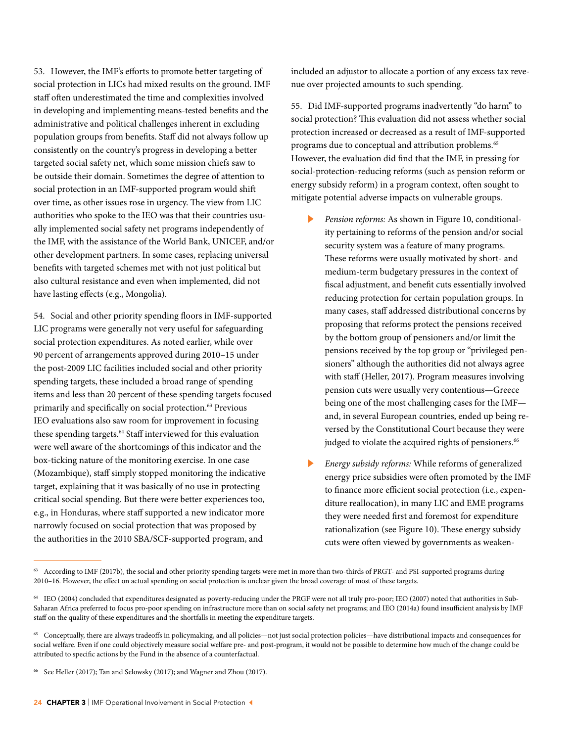53. However, the IMF's efforts to promote better targeting of social protection in LICs had mixed results on the ground. IMF staff often underestimated the time and complexities involved in developing and implementing means-tested benefits and the administrative and political challenges inherent in excluding population groups from benefits. Staff did not always follow up consistently on the country's progress in developing a better targeted social safety net, which some mission chiefs saw to be outside their domain. Sometimes the degree of attention to social protection in an IMF-supported program would shift over time, as other issues rose in urgency. The view from LIC authorities who spoke to the IEO was that their countries usually implemented social safety net programs independently of the IMF, with the assistance of the World Bank, UNICEF, and/or other development partners. In some cases, replacing universal benefits with targeted schemes met with not just political but also cultural resistance and even when implemented, did not have lasting effects (e.g., Mongolia).

54. Social and other priority spending floors in IMF-supported LIC programs were generally not very useful for safeguarding social protection expenditures. As noted earlier, while over 90 percent of arrangements approved during 2010–15 under the post-2009 LIC facilities included social and other priority spending targets, these included a broad range of spending items and less than 20 percent of these spending targets focused primarily and specifically on social protection.63 Previous IEO evaluations also saw room for improvement in focusing these spending targets.<sup>64</sup> Staff interviewed for this evaluation were well aware of the shortcomings of this indicator and the box-ticking nature of the monitoring exercise. In one case (Mozambique), staff simply stopped monitoring the indicative target, explaining that it was basically of no use in protecting critical social spending. But there were better experiences too, e.g., in Honduras, where staff supported a new indicator more narrowly focused on social protection that was proposed by the authorities in the 2010 SBA/SCF-supported program, and

included an adjustor to allocate a portion of any excess tax revenue over projected amounts to such spending.

55. Did IMF-supported programs inadvertently "do harm" to social protection? This evaluation did not assess whether social protection increased or decreased as a result of IMF-supported programs due to conceptual and attribution problems.65 However, the evaluation did find that the IMF, in pressing for social-protection-reducing reforms (such as pension reform or energy subsidy reform) in a program context, often sought to mitigate potential adverse impacts on vulnerable groups.

- ▶ *Pension reforms:* As shown in Figure 10, conditionality pertaining to reforms of the pension and/or social security system was a feature of many programs. These reforms were usually motivated by short- and medium-term budgetary pressures in the context of fiscal adjustment, and benefit cuts essentially involved reducing protection for certain population groups. In many cases, staff addressed distributional concerns by proposing that reforms protect the pensions received by the bottom group of pensioners and/or limit the pensions received by the top group or "privileged pensioners" although the authorities did not always agree with staff (Heller, 2017). Program measures involving pension cuts were usually very contentious—Greece being one of the most challenging cases for the IMF and, in several European countries, ended up being reversed by the Constitutional Court because they were judged to violate the acquired rights of pensioners.<sup>66</sup>
- ▶ *Energy subsidy reforms:* While reforms of generalized energy price subsidies were often promoted by the IMF to finance more efficient social protection (i.e., expenditure reallocation), in many LIC and EME programs they were needed first and foremost for expenditure rationalization (see Figure 10). These energy subsidy cuts were often viewed by governments as weaken-

<sup>&</sup>lt;sup>63</sup> According to IMF (2017b), the social and other priority spending targets were met in more than two-thirds of PRGT- and PSI-supported programs during 2010–16. However, the effect on actual spending on social protection is unclear given the broad coverage of most of these targets.

<sup>64</sup> IEO (2004) concluded that expenditures designated as poverty-reducing under the PRGF were not all truly pro-poor; IEO (2007) noted that authorities in Sub-Saharan Africa preferred to focus pro-poor spending on infrastructure more than on social safety net programs; and IEO (2014a) found insufficient analysis by IMF staff on the quality of these expenditures and the shortfalls in meeting the expenditure targets.

<sup>&</sup>lt;sup>65</sup> Conceptually, there are always tradeoffs in policymaking, and all policies—not just social protection policies—have distributional impacts and consequences for social welfare. Even if one could objectively measure social welfare pre- and post-program, it would not be possible to determine how much of the change could be attributed to specific actions by the Fund in the absence of a counterfactual.

<sup>&</sup>lt;sup>66</sup> See Heller (2017); Tan and Selowsky (2017); and Wagner and Zhou (2017).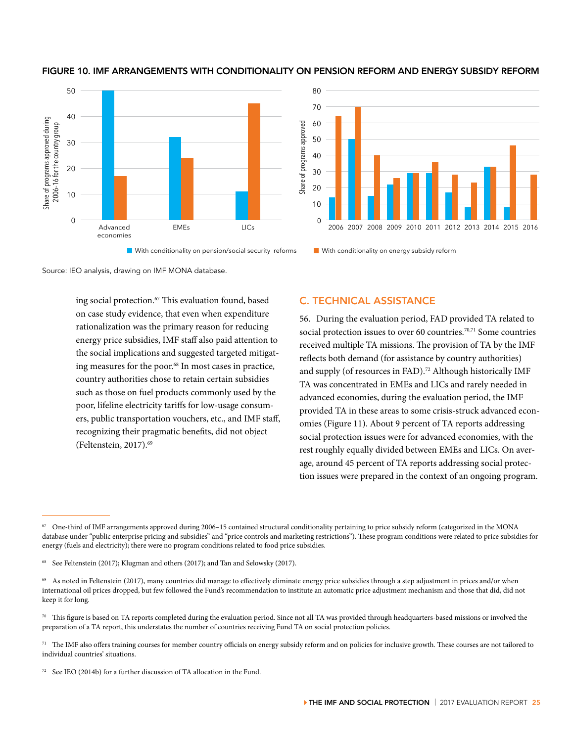

### FIGURE 10. IMF ARRANGEMENTS WITH CONDITIONALITY ON PENSION REFORM AND ENERGY SUBSIDY REFORM



**Nuth conditionality on pension/social security reforms** With conditionality on energy subsidy reform

Source: IEO analysis, drawing on IMF MONA database.

ing social protection.<sup>67</sup> This evaluation found, based on case study evidence, that even when expenditure rationalization was the primary reason for reducing energy price subsidies, IMF staff also paid attention to the social implications and suggested targeted mitigating measures for the poor.<sup>68</sup> In most cases in practice, country authorities chose to retain certain subsidies such as those on fuel products commonly used by the poor, lifeline electricity tariffs for low-usage consumers, public transportation vouchers, etc., and IMF staff, recognizing their pragmatic benefits, did not object (Feltenstein, 2017).<sup>69</sup>

# C. TECHNICAL ASSISTANCE

56. During the evaluation period, FAD provided TA related to social protection issues to over 60 countries.<sup>70,71</sup> Some countries received multiple TA missions. The provision of TA by the IMF reflects both demand (for assistance by country authorities) and supply (of resources in FAD).<sup>72</sup> Although historically IMF TA was concentrated in EMEs and LICs and rarely needed in advanced economies, during the evaluation period, the IMF provided TA in these areas to some crisis-struck advanced economies (Figure 11). About 9 percent of TA reports addressing social protection issues were for advanced economies, with the rest roughly equally divided between EMEs and LICs. On average, around 45 percent of TA reports addressing social protection issues were prepared in the context of an ongoing program.

<sup>67</sup> One-third of IMF arrangements approved during 2006–15 contained structural conditionality pertaining to price subsidy reform (categorized in the MONA database under "public enterprise pricing and subsidies" and "price controls and marketing restrictions"). These program conditions were related to price subsidies for energy (fuels and electricity); there were no program conditions related to food price subsidies.

<sup>68</sup> See Feltenstein (2017); Klugman and others (2017); and Tan and Selowsky (2017).

<sup>&</sup>lt;sup>69</sup> As noted in Feltenstein (2017), many countries did manage to effectively eliminate energy price subsidies through a step adjustment in prices and/or when international oil prices dropped, but few followed the Fund's recommendation to institute an automatic price adjustment mechanism and those that did, did not keep it for long.

<sup>70</sup> This figure is based on TA reports completed during the evaluation period. Since not all TA was provided through headquarters-based missions or involved the preparation of a TA report, this understates the number of countries receiving Fund TA on social protection policies.

 $71$  The IMF also offers training courses for member country officials on energy subsidy reform and on policies for inclusive growth. These courses are not tailored to individual countries' situations.

<sup>72</sup> See IEO (2014b) for a further discussion of TA allocation in the Fund.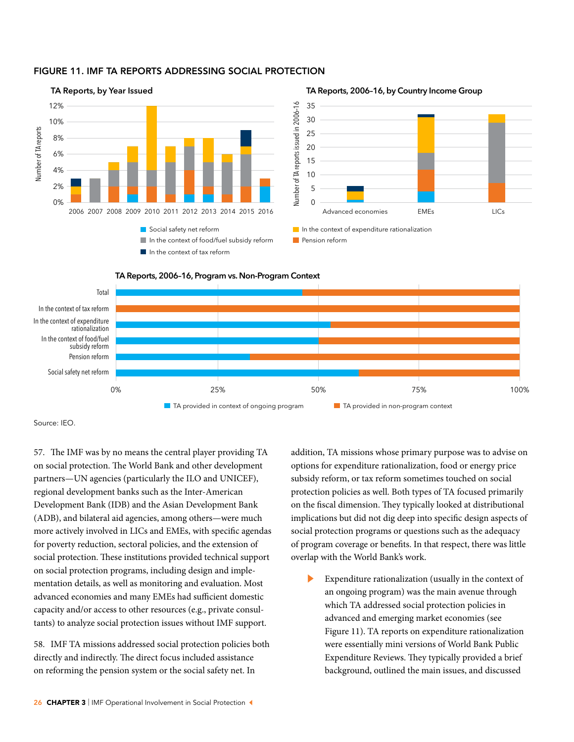### FIGURE 11. IMF TA REPORTS ADDRESSING SOCIAL PROTECTION



### **TA Reports, 2006–16, by Country Income Group**







Source: IEO.

57. The IMF was by no means the central player providing TA on social protection. The World Bank and other development partners—UN agencies (particularly the ILO and UNICEF), regional development banks such as the Inter-American Development Bank (IDB) and the Asian Development Bank (ADB), and bilateral aid agencies, among others—were much more actively involved in LICs and EMEs, with specific agendas for poverty reduction, sectoral policies, and the extension of social protection. These institutions provided technical support on social protection programs, including design and implementation details, as well as monitoring and evaluation. Most advanced economies and many EMEs had sufficient domestic capacity and/or access to other resources (e.g., private consultants) to analyze social protection issues without IMF support.

58. IMF TA missions addressed social protection policies both directly and indirectly. The direct focus included assistance on reforming the pension system or the social safety net. In

addition, TA missions whose primary purpose was to advise on options for expenditure rationalization, food or energy price subsidy reform, or tax reform sometimes touched on social protection policies as well. Both types of TA focused primarily on the fiscal dimension. They typically looked at distributional implications but did not dig deep into specific design aspects of social protection programs or questions such as the adequacy of program coverage or benefits. In that respect, there was little overlap with the World Bank's work.

Expenditure rationalization (usually in the context of an ongoing program) was the main avenue through which TA addressed social protection policies in advanced and emerging market economies (see Figure 11). TA reports on expenditure rationalization were essentially mini versions of World Bank Public Expenditure Reviews. They typically provided a brief background, outlined the main issues, and discussed